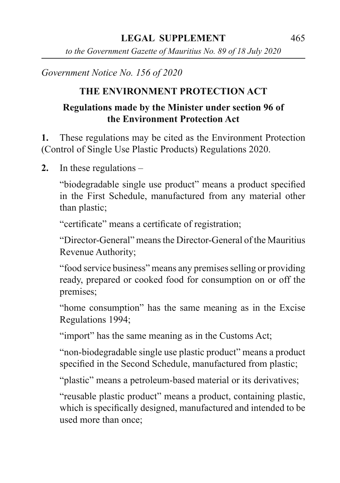*to the Government Gazette of Mauritius No. 89 of 18 July 2020*

*Government Notice No. 156 of 2020*

# **THE ENVIRONMENT PROTECTION ACT**

## **Regulations made by the Minister under section 96 of the Environment Protection Act**

**1.** These regulations may be cited as the Environment Protection (Control of Single Use Plastic Products) Regulations 2020.

**2.** In these regulations –

"biodegradable single use product" means a product specified in the First Schedule, manufactured from any material other than plastic;

"certificate" means a certificate of registration;

"Director-General" means the Director-General of the Mauritius Revenue Authority;

"food service business" means any premises selling or providing ready, prepared or cooked food for consumption on or off the premises;

"home consumption" has the same meaning as in the Excise Regulations 1994;

"import" has the same meaning as in the Customs Act;

"non-biodegradable single use plastic product" means a product specified in the Second Schedule, manufactured from plastic;

"plastic" means a petroleum-based material or its derivatives;

"reusable plastic product" means a product, containing plastic, which is specifically designed, manufactured and intended to be used more than once;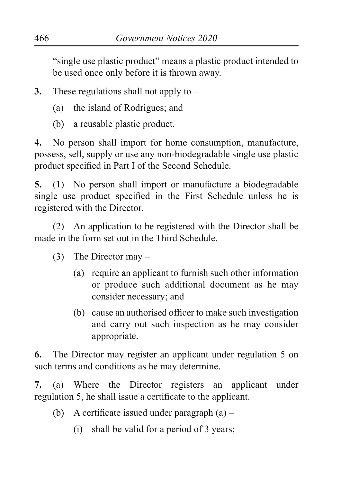"single use plastic product" means a plastic product intended to be used once only before it is thrown away.

**3.** These regulations shall not apply to –

- (a) the island of Rodrigues; and
- (b) a reusable plastic product.

**4.** No person shall import for home consumption, manufacture, possess, sell, supply or use any non-biodegradable single use plastic product specified in Part I of the Second Schedule.

**5.** (1) No person shall import or manufacture a biodegradable single use product specified in the First Schedule unless he is registered with the Director.

(2) An application to be registered with the Director shall be made in the form set out in the Third Schedule.

- (3) The Director may
	- (a) require an applicant to furnish such other information or produce such additional document as he may consider necessary; and
	- (b) cause an authorised officer to make such investigation and carry out such inspection as he may consider appropriate.

**6.** The Director may register an applicant under regulation 5 on such terms and conditions as he may determine.

**7.** (a) Where the Director registers an applicant under regulation 5, he shall issue a certificate to the applicant.

- (b) A certificate issued under paragraph (a)
	- (i) shall be valid for a period of 3 years;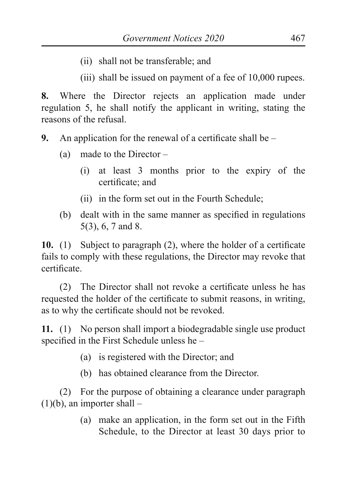(ii) shall not be transferable; and

(iii) shall be issued on payment of a fee of 10,000 rupees.

**8.** Where the Director rejects an application made under regulation 5, he shall notify the applicant in writing, stating the reasons of the refusal.

**9.** An application for the renewal of a certificate shall be –

- (a) made to the Director
	- (i) at least 3 months prior to the expiry of the certificate; and
	- (ii) in the form set out in the Fourth Schedule;
- (b) dealt with in the same manner as specified in regulations 5(3), 6, 7 and 8.

**10.** (1) Subject to paragraph (2), where the holder of a certificate fails to comply with these regulations, the Director may revoke that certificate.

(2) The Director shall not revoke a certificate unless he has requested the holder of the certificate to submit reasons, in writing, as to why the certificate should not be revoked.

**11.** (1) No person shall import a biodegradable single use product specified in the First Schedule unless he –

- (a) is registered with the Director; and
- (b) has obtained clearance from the Director.

(2) For the purpose of obtaining a clearance under paragraph  $(1)(b)$ , an importer shall –

> (a) make an application, in the form set out in the Fifth Schedule, to the Director at least 30 days prior to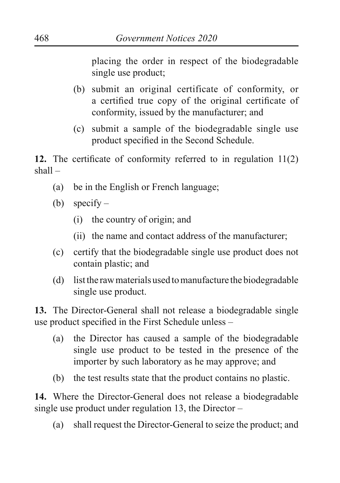placing the order in respect of the biodegradable single use product;

- (b) submit an original certificate of conformity, or a certified true copy of the original certificate of conformity, issued by the manufacturer; and
- (c) submit a sample of the biodegradable single use product specified in the Second Schedule.

**12.** The certificate of conformity referred to in regulation 11(2) shall –

- (a) be in the English or French language;
- (b) specify
	- (i) the country of origin; and
	- (ii) the name and contact address of the manufacturer;
- (c) certify that the biodegradable single use product does not contain plastic; and
- (d) list the raw materials used to manufacture the biodegradable single use product.

**13.** The Director-General shall not release a biodegradable single use product specified in the First Schedule unless –

- (a) the Director has caused a sample of the biodegradable single use product to be tested in the presence of the importer by such laboratory as he may approve; and
- (b) the test results state that the product contains no plastic.

**14.** Where the Director-General does not release a biodegradable single use product under regulation 13, the Director –

(a) shall request the Director-General to seize the product; and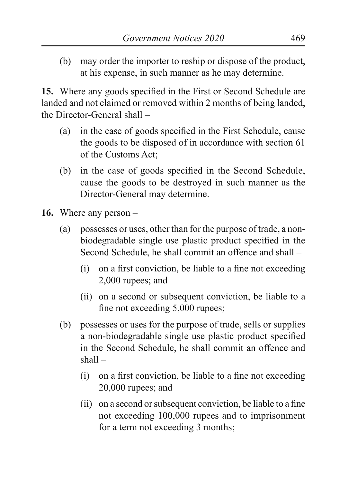(b) may order the importer to reship or dispose of the product, at his expense, in such manner as he may determine.

**15.** Where any goods specified in the First or Second Schedule are landed and not claimed or removed within 2 months of being landed, the Director-General shall –

- (a) in the case of goods specified in the First Schedule, cause the goods to be disposed of in accordance with section 61 of the Customs Act;
- (b) in the case of goods specified in the Second Schedule, cause the goods to be destroyed in such manner as the Director-General may determine.
- **16.** Where any person
	- (a) possesses or uses, other than for the purpose of trade, a nonbiodegradable single use plastic product specified in the Second Schedule, he shall commit an offence and shall –
		- (i) on a first conviction, be liable to a fine not exceeding 2,000 rupees; and
		- (ii) on a second or subsequent conviction, be liable to a fine not exceeding 5,000 rupees;
	- (b) possesses or uses for the purpose of trade, sells or supplies a non-biodegradable single use plastic product specified in the Second Schedule, he shall commit an offence and shall –
		- (i) on a first conviction, be liable to a fine not exceeding 20,000 rupees; and
		- (ii) on a second or subsequent conviction, be liable to a fine not exceeding 100,000 rupees and to imprisonment for a term not exceeding 3 months;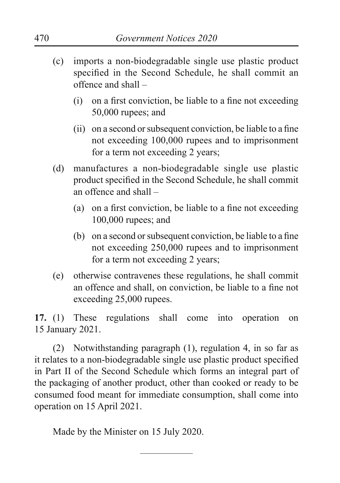- (c) imports a non-biodegradable single use plastic product specified in the Second Schedule, he shall commit an offence and shall –
	- (i) on a first conviction, be liable to a fine not exceeding 50,000 rupees; and
	- (ii) on a second or subsequent conviction, be liable to a fine not exceeding 100,000 rupees and to imprisonment for a term not exceeding 2 years;
- (d) manufactures a non-biodegradable single use plastic product specified in the Second Schedule, he shall commit an offence and shall –
	- (a) on a first conviction, be liable to a fine not exceeding 100,000 rupees; and
	- (b) on a second or subsequent conviction, be liable to a fine not exceeding 250,000 rupees and to imprisonment for a term not exceeding 2 years;
- (e) otherwise contravenes these regulations, he shall commit an offence and shall, on conviction, be liable to a fine not exceeding 25,000 rupees.

**17.** (1) These regulations shall come into operation on 15 January 2021.

(2) Notwithstanding paragraph (1), regulation 4, in so far as it relates to a non-biodegradable single use plastic product specified in Part II of the Second Schedule which forms an integral part of the packaging of another product, other than cooked or ready to be consumed food meant for immediate consumption, shall come into operation on 15 April 2021.

Made by the Minister on 15 July 2020.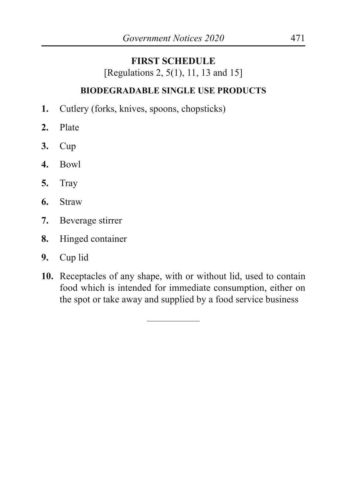### **FIRST SCHEDULE**

[Regulations 2, 5(1), 11, 13 and 15]

### **BIODEGRADABLE SINGLE USE PRODUCTS**

- **1.** Cutlery (forks, knives, spoons, chopsticks)
- **2.** Plate
- **3.** Cup
- **4.** Bowl
- **5.** Tray
- **6.** Straw
- **7.** Beverage stirrer
- **8.** Hinged container
- **9.** Cup lid
- **10.** Receptacles of any shape, with or without lid, used to contain food which is intended for immediate consumption, either on the spot or take away and supplied by a food service business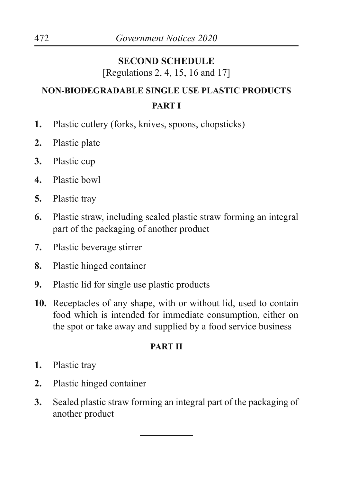# **SECOND SCHEDULE**

[Regulations 2, 4, 15, 16 and 17]

# **NON-BIODEGRADABLE SINGLE USE PLASTIC PRODUCTS PART I**

- **1.** Plastic cutlery (forks, knives, spoons, chopsticks)
- **2.** Plastic plate
- **3.** Plastic cup
- **4.** Plastic bowl
- **5.** Plastic tray
- **6.** Plastic straw, including sealed plastic straw forming an integral part of the packaging of another product
- **7.** Plastic beverage stirrer
- **8.** Plastic hinged container
- **9.** Plastic lid for single use plastic products
- **10.** Receptacles of any shape, with or without lid, used to contain food which is intended for immediate consumption, either on the spot or take away and supplied by a food service business

### **PART II**

- **1.** Plastic tray
- **2.** Plastic hinged container
- **3.** Sealed plastic straw forming an integral part of the packaging of another product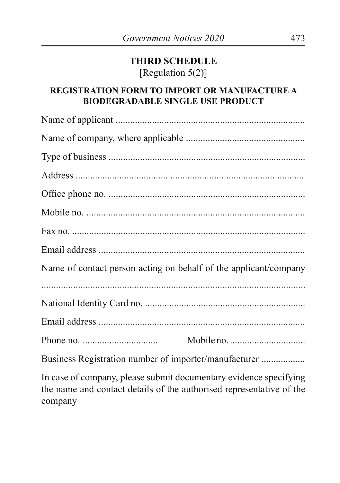### **THIRD SCHEDULE** [Regulation 5(2)]

### **REGISTRATION FORM TO IMPORT OR MANUFACTURE A BIODEGRADABLE SINGLE USE PRODUCT**

| Name of contact person acting on behalf of the applicant/company |
|------------------------------------------------------------------|
|                                                                  |
|                                                                  |
|                                                                  |
|                                                                  |
| Business Registration number of importer/manufacturer            |

In case of company, please submit documentary evidence specifying the name and contact details of the authorised representative of the company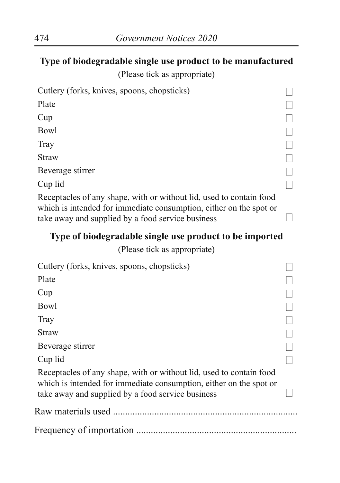## **Type of biodegradable single use product to be manufactured**

(Please tick as appropriate)

| Cutlery (forks, knives, spoons, chopsticks)                         |  |
|---------------------------------------------------------------------|--|
| Plate                                                               |  |
| Cup                                                                 |  |
| Bowl                                                                |  |
| Tray                                                                |  |
| <b>Straw</b>                                                        |  |
| Beverage stirrer                                                    |  |
| Cup lid                                                             |  |
| Receptacles of any shape, with or without lid, used to contain food |  |
|                                                                     |  |

which is intended for immediate consumption, either on the spot or take away and supplied by a food service business

# **Type of biodegradable single use product to be imported**

(Please tick as appropriate)

| Cutlery (forks, knives, spoons, chopsticks)                                                                                                                                                    |  |
|------------------------------------------------------------------------------------------------------------------------------------------------------------------------------------------------|--|
| Plate                                                                                                                                                                                          |  |
| Cup                                                                                                                                                                                            |  |
| Bowl                                                                                                                                                                                           |  |
| Tray                                                                                                                                                                                           |  |
| Straw                                                                                                                                                                                          |  |
| Beverage stirrer                                                                                                                                                                               |  |
| Cup lid                                                                                                                                                                                        |  |
| Receptacles of any shape, with or without lid, used to contain food<br>which is intended for immediate consumption, either on the spot or<br>take away and supplied by a food service business |  |
|                                                                                                                                                                                                |  |
|                                                                                                                                                                                                |  |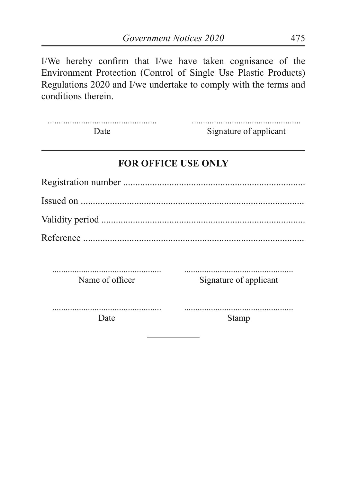I/We hereby confirm that I/we have taken cognisance of the Environment Protection (Control of Single Use Plastic Products) Regulations 2020 and I/we undertake to comply with the terms and conditions therein.

| Date. | Signature of applicant |
|-------|------------------------|

### **FOR OFFICE USE ONLY**

| Date            | Stamp                  |
|-----------------|------------------------|
| Name of officer | Signature of applicant |
|                 |                        |
|                 |                        |
|                 |                        |
|                 |                        |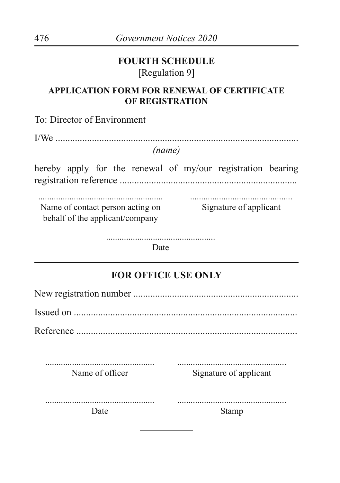### **FOURTH SCHEDULE** [Regulation 9]

### **APPLICATION FORM FOR RENEWAL OF CERTIFICATE OF REGISTRATION**

To: Director of Environment

#### *(name)*

hereby apply for the renewal of my/our registration bearing registration reference .........................................................................

........................................................ Name of contact person acting on ..............................................

behalf of the applicant/company

Signature of applicant

.................................................

Date

# **FOR OFFICE USE ONLY**

| Name of officer | Signature of applicant |
|-----------------|------------------------|
| Date            | Stamp                  |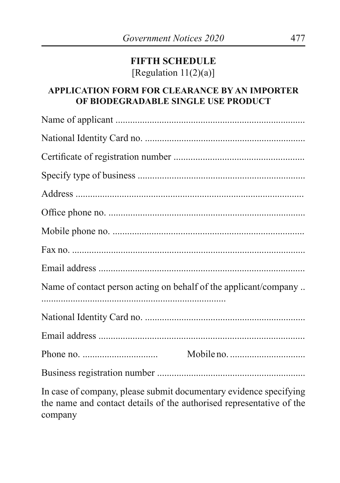### **FIFTH SCHEDULE** [Regulation  $11(2)(a)$ ]

### **APPLICATION FORM FOR CLEARANCE BY AN IMPORTER OF BIODEGRADABLE SINGLE USE PRODUCT**

| Name of contact person acting on behalf of the applicant/company  |
|-------------------------------------------------------------------|
|                                                                   |
|                                                                   |
|                                                                   |
|                                                                   |
| In case of company, please submit documentary evidence specifying |

the name and contact details of the authorised representative of the company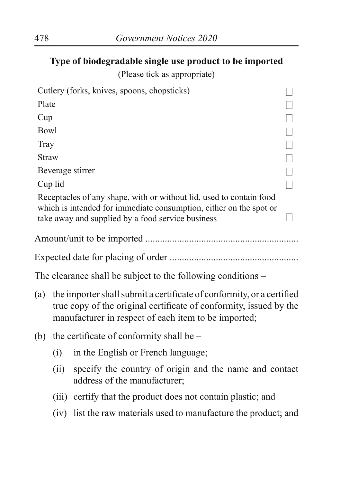**Type of biodegradable single use product to be imported** 

(Please tick as appropriate)

|              |                                                                                                                                                                                                     | Cutlery (forks, knives, spoons, chopsticks)                                                                                                                                                    |        |  |  |  |
|--------------|-----------------------------------------------------------------------------------------------------------------------------------------------------------------------------------------------------|------------------------------------------------------------------------------------------------------------------------------------------------------------------------------------------------|--------|--|--|--|
| Plate        |                                                                                                                                                                                                     |                                                                                                                                                                                                |        |  |  |  |
| Cup          |                                                                                                                                                                                                     |                                                                                                                                                                                                |        |  |  |  |
| <b>Bowl</b>  |                                                                                                                                                                                                     |                                                                                                                                                                                                | $\Box$ |  |  |  |
| Tray         |                                                                                                                                                                                                     |                                                                                                                                                                                                | $\Box$ |  |  |  |
| <b>Straw</b> |                                                                                                                                                                                                     |                                                                                                                                                                                                | $\Box$ |  |  |  |
|              |                                                                                                                                                                                                     | Beverage stirrer                                                                                                                                                                               | $\Box$ |  |  |  |
|              | Cup lid                                                                                                                                                                                             |                                                                                                                                                                                                | $\Box$ |  |  |  |
|              |                                                                                                                                                                                                     | Receptacles of any shape, with or without lid, used to contain food<br>which is intended for immediate consumption, either on the spot or<br>take away and supplied by a food service business |        |  |  |  |
|              |                                                                                                                                                                                                     |                                                                                                                                                                                                |        |  |  |  |
|              |                                                                                                                                                                                                     |                                                                                                                                                                                                |        |  |  |  |
|              |                                                                                                                                                                                                     | The clearance shall be subject to the following conditions –                                                                                                                                   |        |  |  |  |
| (a)          | the importer shall submit a certificate of conformity, or a certified<br>true copy of the original certificate of conformity, issued by the<br>manufacturer in respect of each item to be imported; |                                                                                                                                                                                                |        |  |  |  |
| (b)          | the certificate of conformity shall be -                                                                                                                                                            |                                                                                                                                                                                                |        |  |  |  |
|              | (i)                                                                                                                                                                                                 | in the English or French language;                                                                                                                                                             |        |  |  |  |
|              | (ii)                                                                                                                                                                                                | specify the country of origin and the name and contact<br>address of the manufacturer;                                                                                                         |        |  |  |  |
|              |                                                                                                                                                                                                     | (iii) certify that the product does not contain plastic; and                                                                                                                                   |        |  |  |  |
|              |                                                                                                                                                                                                     | (iv) list the raw materials used to manufacture the product; and                                                                                                                               |        |  |  |  |
|              |                                                                                                                                                                                                     |                                                                                                                                                                                                |        |  |  |  |
|              |                                                                                                                                                                                                     |                                                                                                                                                                                                |        |  |  |  |